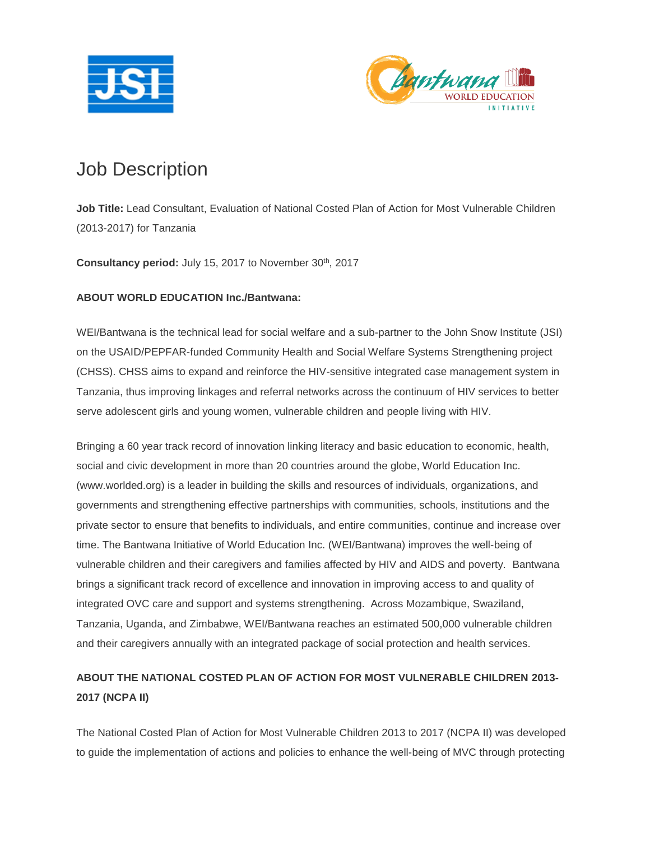



# Job Description

**Job Title:** Lead Consultant, Evaluation of National Costed Plan of Action for Most Vulnerable Children (2013-2017) for Tanzania

**Consultancy period:** July 15, 2017 to November 30th , 2017

### **ABOUT WORLD EDUCATION Inc./Bantwana:**

WEI/Bantwana is the technical lead for social welfare and a sub-partner to the John Snow Institute (JSI) on the USAID/PEPFAR-funded Community Health and Social Welfare Systems Strengthening project (CHSS). CHSS aims to expand and reinforce the HIV-sensitive integrated case management system in Tanzania, thus improving linkages and referral networks across the continuum of HIV services to better serve adolescent girls and young women, vulnerable children and people living with HIV.

Bringing a 60 year track record of innovation linking literacy and basic education to economic, health, social and civic development in more than 20 countries around the globe, World Education Inc. (www.worlded.org) is a leader in building the skills and resources of individuals, organizations, and governments and strengthening effective partnerships with communities, schools, institutions and the private sector to ensure that benefits to individuals, and entire communities, continue and increase over time. The Bantwana Initiative of World Education Inc. (WEI/Bantwana) improves the well-being of vulnerable children and their caregivers and families affected by HIV and AIDS and poverty. Bantwana brings a significant track record of excellence and innovation in improving access to and quality of integrated OVC care and support and systems strengthening. Across Mozambique, Swaziland, Tanzania, Uganda, and Zimbabwe, WEI/Bantwana reaches an estimated 500,000 vulnerable children and their caregivers annually with an integrated package of social protection and health services.

## **ABOUT THE NATIONAL COSTED PLAN OF ACTION FOR MOST VULNERABLE CHILDREN 2013- 2017 (NCPA II)**

The National Costed Plan of Action for Most Vulnerable Children 2013 to 2017 (NCPA II) was developed to guide the implementation of actions and policies to enhance the well-being of MVC through protecting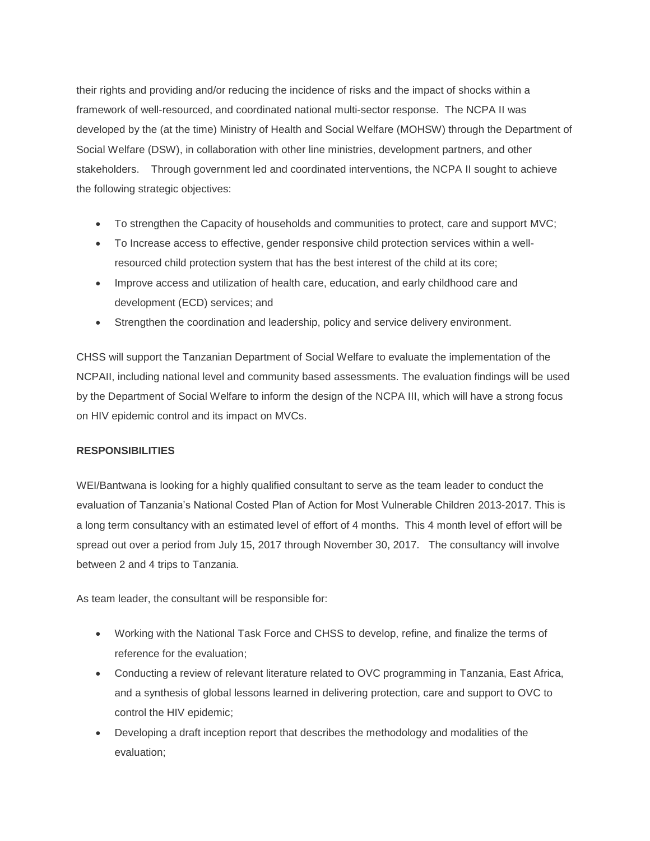their rights and providing and/or reducing the incidence of risks and the impact of shocks within a framework of well-resourced, and coordinated national multi-sector response. The NCPA II was developed by the (at the time) Ministry of Health and Social Welfare (MOHSW) through the Department of Social Welfare (DSW), in collaboration with other line ministries, development partners, and other stakeholders. Through government led and coordinated interventions, the NCPA II sought to achieve the following strategic objectives:

- To strengthen the Capacity of households and communities to protect, care and support MVC;
- To Increase access to effective, gender responsive child protection services within a wellresourced child protection system that has the best interest of the child at its core;
- Improve access and utilization of health care, education, and early childhood care and development (ECD) services; and
- Strengthen the coordination and leadership, policy and service delivery environment.

CHSS will support the Tanzanian Department of Social Welfare to evaluate the implementation of the NCPAII, including national level and community based assessments. The evaluation findings will be used by the Department of Social Welfare to inform the design of the NCPA III, which will have a strong focus on HIV epidemic control and its impact on MVCs.

### **RESPONSIBILITIES**

WEI/Bantwana is looking for a highly qualified consultant to serve as the team leader to conduct the evaluation of Tanzania's National Costed Plan of Action for Most Vulnerable Children 2013-2017. This is a long term consultancy with an estimated level of effort of 4 months. This 4 month level of effort will be spread out over a period from July 15, 2017 through November 30, 2017. The consultancy will involve between 2 and 4 trips to Tanzania.

As team leader, the consultant will be responsible for:

- Working with the National Task Force and CHSS to develop, refine, and finalize the terms of reference for the evaluation;
- Conducting a review of relevant literature related to OVC programming in Tanzania, East Africa, and a synthesis of global lessons learned in delivering protection, care and support to OVC to control the HIV epidemic;
- Developing a draft inception report that describes the methodology and modalities of the evaluation;